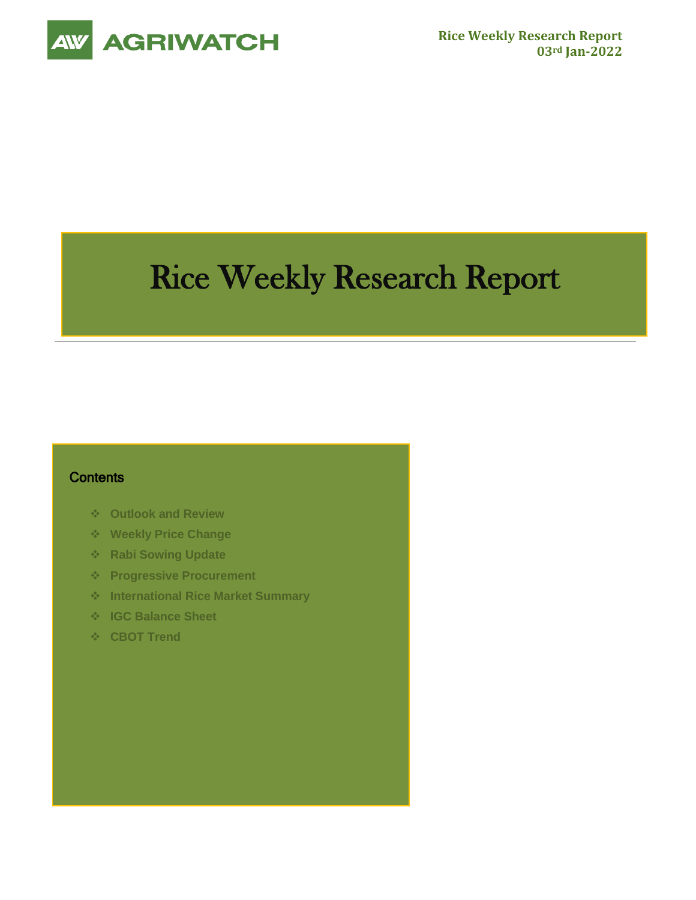

# Rice Weekly Research Report

## **Contents**

- ❖ **Outlook and Review**
- ❖ **Weekly Price Change**
- ❖ **Rabi Sowing Update**
- ❖ **Progressive Procurement**
- ❖ **International Rice Market Summary**
- ❖ **IGC Balance Sheet**
- ❖ **CBOT Trend**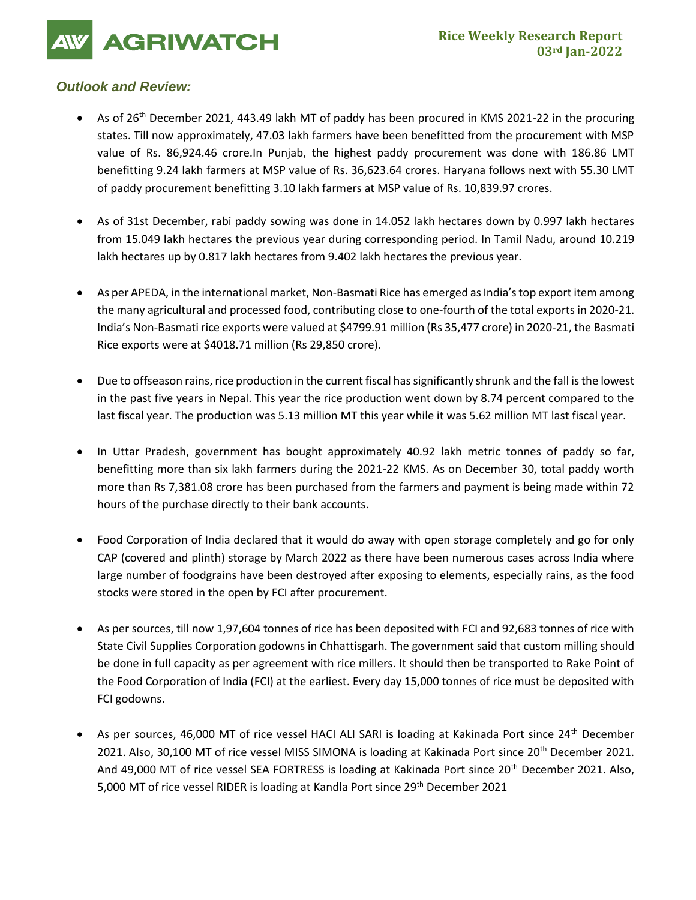**AGRIWATCH** 

# *Outlook and Review:*

- As of 26<sup>th</sup> December 2021, 443.49 lakh MT of paddy has been procured in KMS 2021-22 in the procuring states. Till now approximately, 47.03 lakh farmers have been benefitted from the procurement with MSP value of Rs. 86,924.46 crore.In Punjab, the highest paddy procurement was done with 186.86 LMT benefitting 9.24 lakh farmers at MSP value of Rs. 36,623.64 crores. Haryana follows next with 55.30 LMT of paddy procurement benefitting 3.10 lakh farmers at MSP value of Rs. 10,839.97 crores.
- As of 31st December, rabi paddy sowing was done in 14.052 lakh hectares down by 0.997 lakh hectares from 15.049 lakh hectares the previous year during corresponding period. In Tamil Nadu, around 10.219 lakh hectares up by 0.817 lakh hectares from 9.402 lakh hectares the previous year.
- As per APEDA, in the international market, Non-Basmati Rice has emerged as India's top export item among the many agricultural and processed food, contributing close to one-fourth of the total exports in 2020-21. India's Non-Basmati rice exports were valued at \$4799.91 million (Rs 35,477 crore) in 2020-21, the Basmati Rice exports were at \$4018.71 million (Rs 29,850 crore).
- Due to offseason rains, rice production in the current fiscal has significantly shrunk and the fall is the lowest in the past five years in Nepal. This year the rice production went down by 8.74 percent compared to the last fiscal year. The production was 5.13 million MT this year while it was 5.62 million MT last fiscal year.
- In Uttar Pradesh, government has bought approximately 40.92 lakh metric tonnes of paddy so far, benefitting more than six lakh farmers during the 2021-22 KMS. As on December 30, total paddy worth more than Rs 7,381.08 crore has been purchased from the farmers and payment is being made within 72 hours of the purchase directly to their bank accounts.
- Food Corporation of India declared that it would do away with open storage completely and go for only CAP (covered and plinth) storage by March 2022 as there have been numerous cases across India where large number of foodgrains have been destroyed after exposing to elements, especially rains, as the food stocks were stored in the open by FCI after procurement.
- As per sources, till now 1,97,604 tonnes of rice has been deposited with FCI and 92,683 tonnes of rice with State Civil Supplies Corporation godowns in Chhattisgarh. The government said that custom milling should be done in full capacity as per agreement with rice millers. It should then be transported to Rake Point of the Food Corporation of India (FCI) at the earliest. Every day 15,000 tonnes of rice must be deposited with FCI godowns.
- As per sources, 46,000 MT of rice vessel HACI ALI SARI is loading at Kakinada Port since 24<sup>th</sup> December 2021. Also, 30,100 MT of rice vessel MISS SIMONA is loading at Kakinada Port since 20<sup>th</sup> December 2021. And 49,000 MT of rice vessel SEA FORTRESS is loading at Kakinada Port since 20th December 2021. Also, 5,000 MT of rice vessel RIDER is loading at Kandla Port since 29<sup>th</sup> December 2021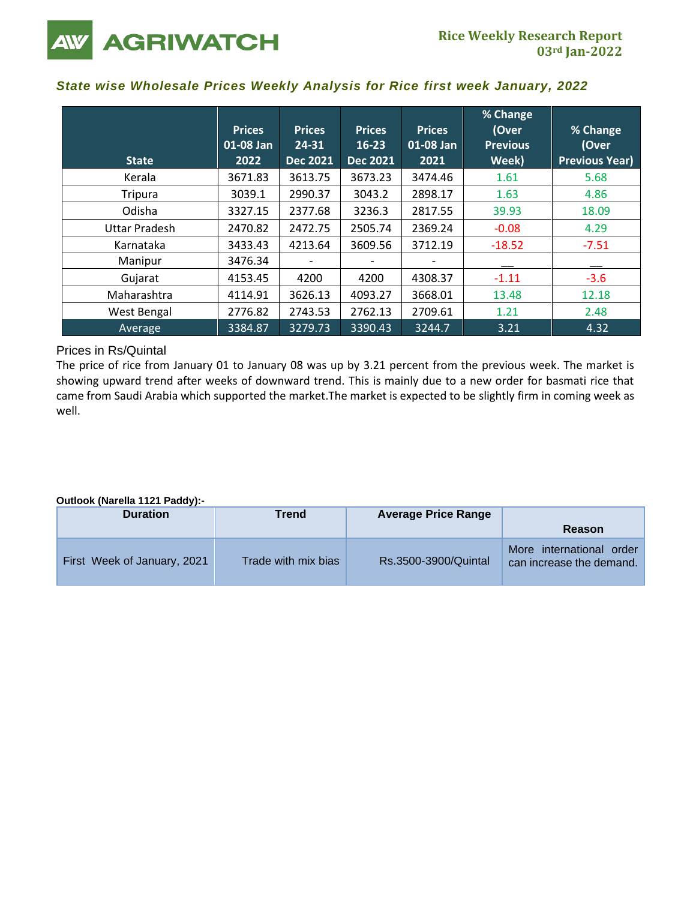**AGRIWATCH** 

## *State wise Wholesale Prices Weekly Analysis for Rice first week January, 2022*

| <b>State</b>         | <b>Prices</b><br>01-08 Jan<br>2022 | <b>Prices</b><br>24-31<br><b>Dec 2021</b> | <b>Prices</b><br>$16 - 23$<br><b>Dec 2021</b> | <b>Prices</b><br>01-08 Jan<br>2021 | % Change<br>(Over<br><b>Previous</b><br>Week) | % Change<br>(Over<br><b>Previous Year)</b> |
|----------------------|------------------------------------|-------------------------------------------|-----------------------------------------------|------------------------------------|-----------------------------------------------|--------------------------------------------|
| Kerala               | 3671.83                            | 3613.75                                   | 3673.23                                       | 3474.46                            | 1.61                                          | 5.68                                       |
| Tripura              | 3039.1                             | 2990.37                                   | 3043.2                                        | 2898.17                            | 1.63                                          | 4.86                                       |
| Odisha               | 3327.15                            | 2377.68                                   | 3236.3                                        | 2817.55                            | 39.93                                         | 18.09                                      |
| <b>Uttar Pradesh</b> | 2470.82                            | 2472.75                                   | 2505.74                                       | 2369.24                            | $-0.08$                                       | 4.29                                       |
| Karnataka            | 3433.43                            | 4213.64                                   | 3609.56                                       | 3712.19                            | $-18.52$                                      | $-7.51$                                    |
| Manipur              | 3476.34                            | $\overline{\phantom{a}}$                  | $\overline{\phantom{a}}$                      |                                    |                                               |                                            |
| Gujarat              | 4153.45                            | 4200                                      | 4200                                          | 4308.37                            | $-1.11$                                       | $-3.6$                                     |
| Maharashtra          | 4114.91                            | 3626.13                                   | 4093.27                                       | 3668.01                            | 13.48                                         | 12.18                                      |
| West Bengal          | 2776.82                            | 2743.53                                   | 2762.13                                       | 2709.61                            | 1.21                                          | 2.48                                       |
| Average              | 3384.87                            | 3279.73                                   | 3390.43                                       | 3244.7                             | 3.21                                          | 4.32                                       |

## Prices in Rs/Quintal

The price of rice from January 01 to January 08 was up by 3.21 percent from the previous week. The market is showing upward trend after weeks of downward trend. This is mainly due to a new order for basmati rice that came from Saudi Arabia which supported the market.The market is expected to be slightly firm in coming week as well.

#### **Outlook (Narella 1121 Paddy):-**

| <b>Duration</b>             | Trend               | <b>Average Price Range</b> | Reason                                               |
|-----------------------------|---------------------|----------------------------|------------------------------------------------------|
| First Week of January, 2021 | Trade with mix bias | Rs.3500-3900/Quintal       | More international order<br>can increase the demand. |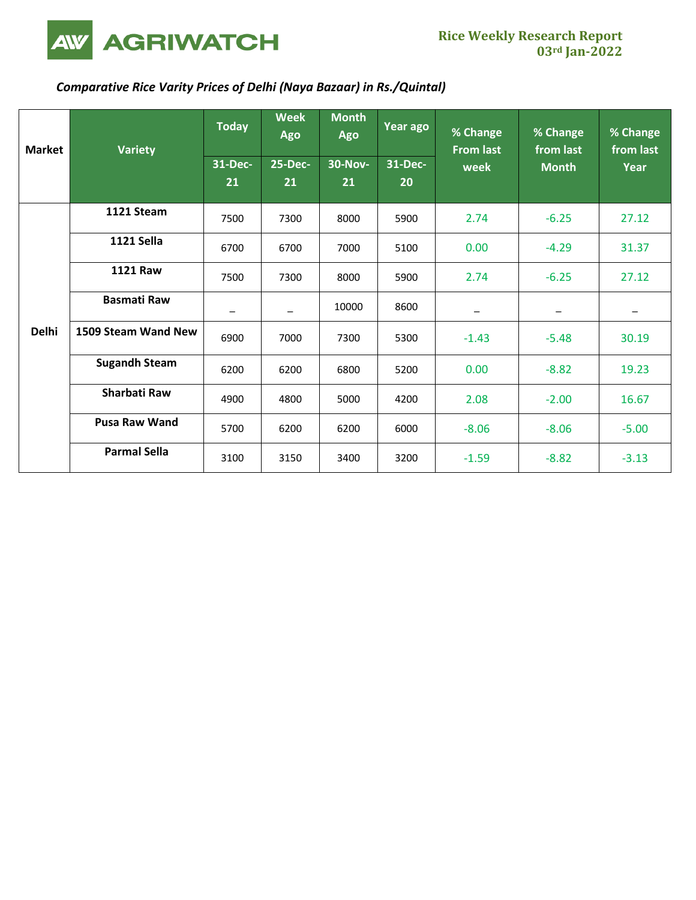

# *Comparative Rice Varity Prices of Delhi (Naya Bazaar) in Rs./Quintal)*

| <b>Market</b> | <b>Variety</b>       | <b>Today</b><br>31-Dec-<br>21 | <b>Week</b><br>Ago<br><b>25-Dec-</b><br>21 | <b>Month</b><br>Ago<br><b>30-Nov-</b><br>21 | Year ago<br>31-Dec-<br>20 | % Change<br><b>From last</b><br>week | % Change<br>from last<br><b>Month</b> | % Change<br>from last<br>Year |
|---------------|----------------------|-------------------------------|--------------------------------------------|---------------------------------------------|---------------------------|--------------------------------------|---------------------------------------|-------------------------------|
|               | 1121 Steam           | 7500                          | 7300                                       | 8000                                        | 5900                      | 2.74                                 | $-6.25$                               | 27.12                         |
|               | <b>1121 Sella</b>    | 6700                          | 6700                                       | 7000                                        | 5100                      | 0.00                                 | $-4.29$                               | 31.37                         |
|               | <b>1121 Raw</b>      | 7500                          | 7300                                       | 8000                                        | 5900                      | 2.74                                 | $-6.25$                               | 27.12                         |
|               | <b>Basmati Raw</b>   | $\qquad \qquad$               |                                            | 10000                                       | 8600                      |                                      |                                       |                               |
| <b>Delhi</b>  | 1509 Steam Wand New  | 6900                          | 7000                                       | 7300                                        | 5300                      | $-1.43$                              | $-5.48$                               | 30.19                         |
|               | <b>Sugandh Steam</b> | 6200                          | 6200                                       | 6800                                        | 5200                      | 0.00                                 | $-8.82$                               | 19.23                         |
|               | <b>Sharbati Raw</b>  | 4900                          | 4800                                       | 5000                                        | 4200                      | 2.08                                 | $-2.00$                               | 16.67                         |
|               | <b>Pusa Raw Wand</b> | 5700                          | 6200                                       | 6200                                        | 6000                      | $-8.06$                              | $-8.06$                               | $-5.00$                       |
|               | <b>Parmal Sella</b>  | 3100                          | 3150                                       | 3400                                        | 3200                      | $-1.59$                              | $-8.82$                               | $-3.13$                       |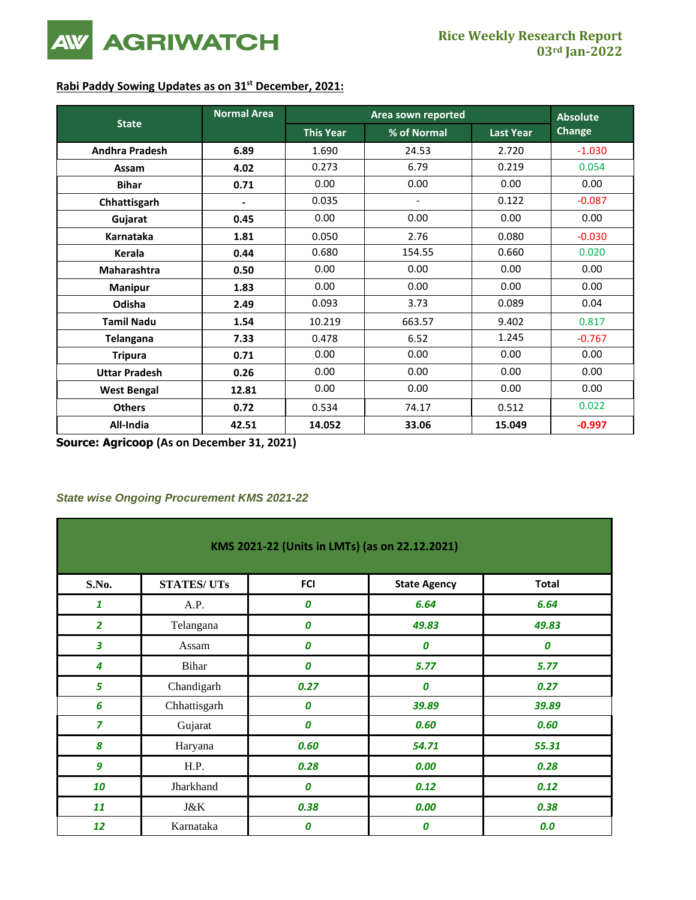

# **Rabi Paddy Sowing Updates as on 31st December, 2021:**

|                       | <b>Normal Area</b> |                  | Area sown reported |                  | <b>Absolute</b> |
|-----------------------|--------------------|------------------|--------------------|------------------|-----------------|
| <b>State</b>          |                    | <b>This Year</b> | % of Normal        | <b>Last Year</b> | <b>Change</b>   |
| <b>Andhra Pradesh</b> | 6.89               | 1.690            | 24.53              | 2.720            | $-1.030$        |
| Assam                 | 4.02               | 0.273            | 6.79               | 0.219            | 0.054           |
| <b>Bihar</b>          | 0.71               | 0.00             | 0.00               | 0.00             | 0.00            |
| Chhattisgarh          | $\blacksquare$     | 0.035            |                    | 0.122            | $-0.087$        |
| Gujarat               | 0.45               | 0.00             | 0.00               | 0.00             | 0.00            |
| Karnataka             | 1.81               | 0.050            | 2.76               | 0.080            | $-0.030$        |
| Kerala                | 0.44               | 0.680            | 154.55             | 0.660            | 0.020           |
| <b>Maharashtra</b>    | 0.50               | 0.00             | 0.00               | 0.00             | 0.00            |
| <b>Manipur</b>        | 1.83               | 0.00             | 0.00               | 0.00             | 0.00            |
| Odisha                | 2.49               | 0.093            | 3.73               | 0.089            | 0.04            |
| <b>Tamil Nadu</b>     | 1.54               | 10.219           | 663.57             | 9.402            | 0.817           |
| <b>Telangana</b>      | 7.33               | 0.478            | 6.52               | 1.245            | $-0.767$        |
| <b>Tripura</b>        | 0.71               | 0.00             | 0.00               | 0.00             | 0.00            |
| <b>Uttar Pradesh</b>  | 0.26               | 0.00             | 0.00               | 0.00             | 0.00            |
| <b>West Bengal</b>    | 12.81              | 0.00             | 0.00               | 0.00             | 0.00            |
| <b>Others</b>         | 0.72               | 0.534            | 74.17              | 0.512            | 0.022           |
| All-India             | 42.51              | 14.052           | 33.06              | 15.049           | $-0.997$        |

**Source: Agricoop (As on December 31, 2021)**

### *State wise Ongoing Procurement KMS 2021-22*

|                | KMS 2021-22 (Units in LMTs) (as on 22.12.2021) |            |                     |                  |  |  |
|----------------|------------------------------------------------|------------|---------------------|------------------|--|--|
| S.No.          | <b>STATES/UTs</b>                              | <b>FCI</b> | <b>State Agency</b> | Total            |  |  |
| $\mathbf{1}$   | A.P.                                           | 0          | 6.64                | 6.64             |  |  |
| $\overline{2}$ | Telangana                                      | 0          | 49.83               | 49.83            |  |  |
| 3              | Assam                                          | 0          | 0                   | $\boldsymbol{0}$ |  |  |
| 4              | Bihar                                          | 0          | 5.77                | 5.77             |  |  |
| 5              | Chandigarh                                     | 0.27       | 0                   | 0.27             |  |  |
| 6              | Chhattisgarh                                   | 0          | 39.89               | 39.89            |  |  |
| $\overline{z}$ | Gujarat                                        | 0          | 0.60                | 0.60             |  |  |
| 8              | Haryana                                        | 0.60       | 54.71               | 55.31            |  |  |
| 9              | H.P.                                           | 0.28       | 0.00                | 0.28             |  |  |
| 10             | Jharkhand                                      | 0          | 0.12                | 0.12             |  |  |
| 11             | J&K                                            | 0.38       | 0.00                | 0.38             |  |  |
| 12             | Karnataka                                      | 0          | 0                   | 0.0              |  |  |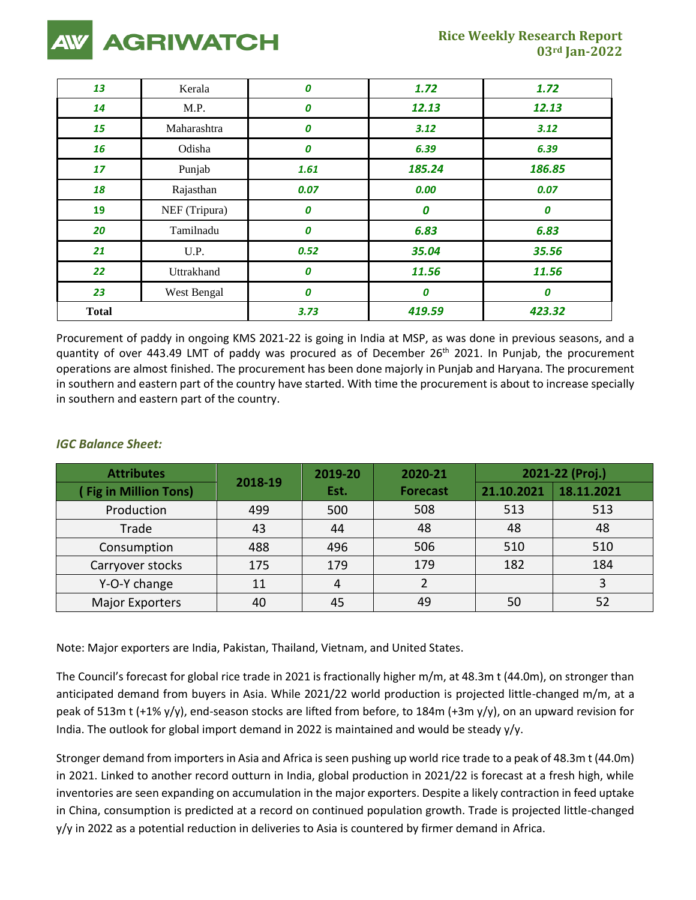

| 13           | Kerala        | 0    | 1.72   | 1.72   |
|--------------|---------------|------|--------|--------|
| 14           | M.P.          | 0    | 12.13  | 12.13  |
| 15           | Maharashtra   | 0    | 3.12   | 3.12   |
| 16           | Odisha        | 0    | 6.39   | 6.39   |
| 17           | Punjab        | 1.61 | 185.24 | 186.85 |
| 18           | Rajasthan     | 0.07 | 0.00   | 0.07   |
| 19           | NEF (Tripura) | 0    | 0      | 0      |
| 20           | Tamilnadu     | 0    | 6.83   | 6.83   |
| 21           | U.P.          | 0.52 | 35.04  | 35.56  |
| 22           | Uttrakhand    | 0    | 11.56  | 11.56  |
| 23           | West Bengal   | 0    | 0      | 0      |
| <b>Total</b> |               | 3.73 | 419.59 | 423.32 |

Procurement of paddy in ongoing KMS 2021-22 is going in India at MSP, as was done in previous seasons, and a quantity of over 443.49 LMT of paddy was procured as of December  $26<sup>th</sup>$  2021. In Punjab, the procurement operations are almost finished. The procurement has been done majorly in Punjab and Haryana. The procurement in southern and eastern part of the country have started. With time the procurement is about to increase specially in southern and eastern part of the country.

| <b>Attributes</b>           | 2018-19 | 2019-20 | 2020-21         |            | 2021-22 (Proj.) |
|-----------------------------|---------|---------|-----------------|------------|-----------------|
| <b>Fig in Million Tons)</b> |         | Est.    | <b>Forecast</b> | 21.10.2021 | 18.11.2021      |
| Production                  | 499     | 500     | 508             | 513        | 513             |
| Trade                       | 43      | 44      | 48              | 48         | 48              |
| Consumption                 | 488     | 496     | 506             | 510        | 510             |
| Carryover stocks            | 175     | 179     | 179             | 182        | 184             |
| Y-O-Y change                | 11      |         |                 |            | 3               |
| <b>Major Exporters</b>      | 40      | 45      | 49              | 50         | 52              |

## *IGC Balance Sheet:*

Note: Major exporters are India, Pakistan, Thailand, Vietnam, and United States.

The Council's forecast for global rice trade in 2021 is fractionally higher m/m, at 48.3m t (44.0m), on stronger than anticipated demand from buyers in Asia. While 2021/22 world production is projected little-changed m/m, at a peak of 513m t (+1% y/y), end-season stocks are lifted from before, to 184m (+3m y/y), on an upward revision for India. The outlook for global import demand in 2022 is maintained and would be steady y/y.

Stronger demand from importers in Asia and Africa is seen pushing up world rice trade to a peak of 48.3m t (44.0m) in 2021. Linked to another record outturn in India, global production in 2021/22 is forecast at a fresh high, while inventories are seen expanding on accumulation in the major exporters. Despite a likely contraction in feed uptake in China, consumption is predicted at a record on continued population growth. Trade is projected little-changed y/y in 2022 as a potential reduction in deliveries to Asia is countered by firmer demand in Africa.